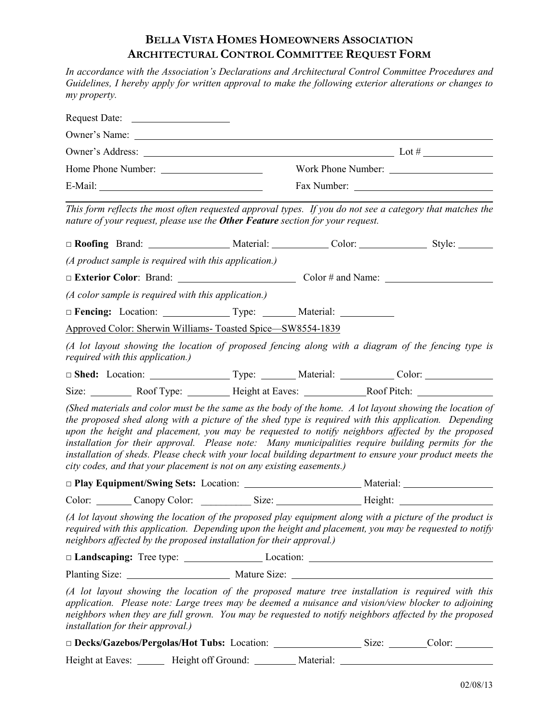## **BELLA VISTA HOMES HOMEOWNERS ASSOCIATION ARCHITECTURAL CONTROL COMMITTEE REQUEST FORM**

*In accordance with the Association's Declarations and Architectural Control Committee Procedures and Guidelines, I hereby apply for written approval to make the following exterior alterations or changes to my property.*

|                                   | nature of your request, please use the <b>Other Feature</b> section for your request. |  |  |  | This form reflects the most often requested approval types. If you do not see a category that matches the                                                                                                                                                                                                                                                                                                                                                                                                                              |
|-----------------------------------|---------------------------------------------------------------------------------------|--|--|--|----------------------------------------------------------------------------------------------------------------------------------------------------------------------------------------------------------------------------------------------------------------------------------------------------------------------------------------------------------------------------------------------------------------------------------------------------------------------------------------------------------------------------------------|
|                                   |                                                                                       |  |  |  |                                                                                                                                                                                                                                                                                                                                                                                                                                                                                                                                        |
|                                   | (A product sample is required with this application.)                                 |  |  |  |                                                                                                                                                                                                                                                                                                                                                                                                                                                                                                                                        |
|                                   |                                                                                       |  |  |  | □ Exterior Color: Brand: Color # and Name: Color # and Name:                                                                                                                                                                                                                                                                                                                                                                                                                                                                           |
|                                   | $(A$ color sample is required with this application.)                                 |  |  |  |                                                                                                                                                                                                                                                                                                                                                                                                                                                                                                                                        |
|                                   | □ Fencing: Location: _________________Type: ___________Material: ______________       |  |  |  |                                                                                                                                                                                                                                                                                                                                                                                                                                                                                                                                        |
|                                   | Approved Color: Sherwin Williams- Toasted Spice-SW8554-1839                           |  |  |  |                                                                                                                                                                                                                                                                                                                                                                                                                                                                                                                                        |
| required with this application.)  |                                                                                       |  |  |  | (A lot layout showing the location of proposed fencing along with a diagram of the fencing type is                                                                                                                                                                                                                                                                                                                                                                                                                                     |
|                                   |                                                                                       |  |  |  | Shed: Location: Type: Material: Color: Color: Color:                                                                                                                                                                                                                                                                                                                                                                                                                                                                                   |
|                                   |                                                                                       |  |  |  |                                                                                                                                                                                                                                                                                                                                                                                                                                                                                                                                        |
|                                   | city codes, and that your placement is not on any existing easements.)                |  |  |  | (Shed materials and color must be the same as the body of the home. A lot layout showing the location of<br>the proposed shed along with a picture of the shed type is required with this application. Depending<br>upon the height and placement, you may be requested to notify neighbors affected by the proposed<br>installation for their approval. Please note: Many municipalities require building permits for the<br>installation of sheds. Please check with your local building department to ensure your product meets the |
|                                   |                                                                                       |  |  |  |                                                                                                                                                                                                                                                                                                                                                                                                                                                                                                                                        |
|                                   |                                                                                       |  |  |  | Color: Canopy Color: Size: Size: Height: Color: Color: Canopy Color: Canopy Color: Canopy Color: Canopy Color: Canopy Color: Canopy Color: Canopy Color: Canopy Color: Canopy Color: Canopy Color: Canopy Color: Canopy Color:                                                                                                                                                                                                                                                                                                         |
|                                   | neighbors affected by the proposed installation for their approval.)                  |  |  |  | (A lot layout showing the location of the proposed play equipment along with a picture of the product is<br>required with this application. Depending upon the height and placement, you may be requested to notify                                                                                                                                                                                                                                                                                                                    |
|                                   |                                                                                       |  |  |  |                                                                                                                                                                                                                                                                                                                                                                                                                                                                                                                                        |
|                                   |                                                                                       |  |  |  |                                                                                                                                                                                                                                                                                                                                                                                                                                                                                                                                        |
| installation for their approval.) |                                                                                       |  |  |  | (A lot layout showing the location of the proposed mature tree installation is required with this<br>application. Please note: Large trees may be deemed a nuisance and vision/view blocker to adjoining<br>neighbors when they are full grown. You may be requested to notify neighbors affected by the proposed                                                                                                                                                                                                                      |
|                                   | Decks/Gazebos/Pergolas/Hot Tubs: Location: _______________________Size: ________      |  |  |  | Color: $\_\_$                                                                                                                                                                                                                                                                                                                                                                                                                                                                                                                          |

Height at Eaves: \_\_\_\_\_\_ Height off Ground: \_\_\_\_\_\_\_ Material: \_\_\_\_\_\_\_\_\_\_\_\_\_\_\_\_\_\_\_